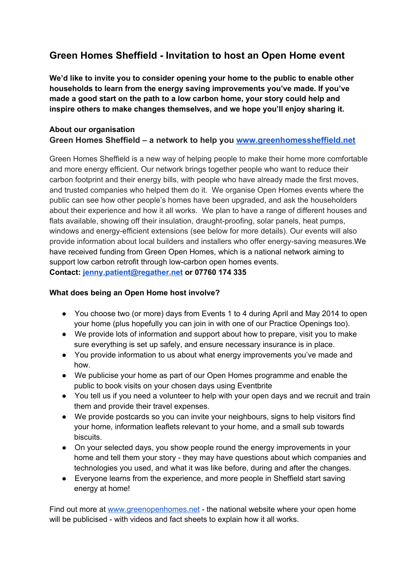# **Green Homes Sheffield Invitation to host an Open Home event**

**We'd like to invite you to consider opening your home to the public to enable other households to learn from the energy saving improvements you've made. If you've made a good start on the path to a low carbon home, your story could help and inspire others to make changes themselves, and we hope you'll enjoy sharing it.**

## **About our organisation Green Homes Sheffield – a network to help you [www.greenhomessheffield.net](http://www.google.com/url?q=http%3A%2F%2Fwww.greenhomessheffield.net&sa=D&sntz=1&usg=AFQjCNGZKzOlmcDzB35d6nbJcRUogcPBzA)**

Green Homes Sheffield is a new way of helping people to make their home more comfortable and more energy efficient. Our network brings together people who want to reduce their carbon footprint and their energy bills, with people who have already made the first moves, and trusted companies who helped them do it. We organise Open Homes events where the public can see how other people's homes have been upgraded, and ask the householders about their experience and how it all works. We plan to have a range of different houses and flats available, showing off their insulation, draught-proofing, solar panels, heat pumps, windows and energy-efficient extensions (see below for more details). Our events will also provide information about local builders and installers who offer energysaving measures.We have received funding from Green Open Homes, which is a national network aiming to support low carbon retrofit through low-carbon open homes events. **Contact: [jenny.patient@regather.net](mailto:jenny.patient@regather.net) or 07760 174 335**

## **What does being an Open Home host involve?**

- You choose two (or more) days from Events 1 to 4 during April and May 2014 to open your home (plus hopefully you can join in with one of our Practice Openings too).
- We provide lots of information and support about how to prepare, visit you to make sure everything is set up safely, and ensure necessary insurance is in place.
- You provide information to us about what energy improvements you've made and how.
- We publicise your home as part of our Open Homes programme and enable the public to book visits on your chosen days using Eventbrite
- You tell us if you need a volunteer to help with your open days and we recruit and train them and provide their travel expenses.
- We provide postcards so you can invite your neighbours, signs to help visitors find your home, information leaflets relevant to your home, and a small sub towards biscuits.
- On your selected days, you show people round the energy improvements in your home and tell them your story - they may have questions about which companies and technologies you used, and what it was like before, during and after the changes.
- Everyone learns from the experience, and more people in Sheffield start saving energy at home!

Find out more at [www.greenopenhomes.net](http://www.google.com/url?q=http%3A%2F%2Fwww.greenopenhomes.net&sa=D&sntz=1&usg=AFQjCNEv-DvBGlKu4qYX6TSldmb_kOMjZQ) - the national website where your open home will be publicised - with videos and fact sheets to explain how it all works.